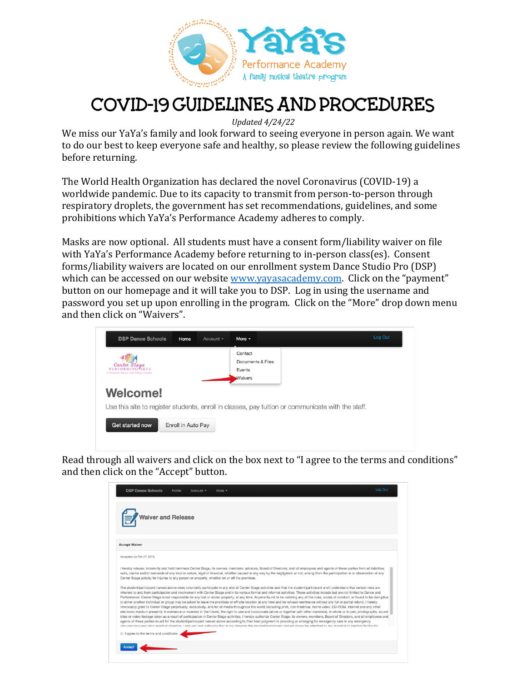

# COVID-19 GUIDELINES AND PROCEDURES

*Updated 4/24/22*

We miss our YaYa's family and look forward to seeing everyone in person again. We want to do our best to keep everyone safe and healthy, so please review the following guidelines before returning.

The World Health Organization has declared the novel Coronavirus (COVID-19) a worldwide pandemic. Due to its capacity to transmit from person-to-person through respiratory droplets, the government has set recommendations, guidelines, and some prohibitions which YaYa's Performance Academy adheres to comply.

Masks are now optional. All students must have a consent form/liability waiver on file with YaYa's Performance Academy before returning to in-person class(es). Consent forms/liability waivers are located on our enrollment system Dance Studio Pro (DSP) which can be accessed on our website www.yayasacademy.com. Click on the "payment" button on our homepage and it will take you to DSP. Log in using the username and password you set up upon enrolling in the program. Click on the "More" drop down menu and then click on "Waivers".

| <b>DSP Dance Schools</b>                            | Home               | Account - | More $-$                                                 | Log Out                                                                                           |
|-----------------------------------------------------|--------------------|-----------|----------------------------------------------------------|---------------------------------------------------------------------------------------------------|
| Conton<br>Stage<br>A Premier Dance and Cheer Studio |                    |           | Contact<br>Documents & Files<br>Events<br><b>Waivers</b> |                                                                                                   |
| <b>Welcome!</b>                                     |                    |           |                                                          | Use this site to register students, enroll in classes, pay tuition or communicate with the staff. |
| Get started now                                     | Enroll in Auto Pay |           |                                                          |                                                                                                   |

Read through all waivers and click on the box next to "I agree to the terms and conditions" and then click on the "Accept" button.

| iver and Release                                                                              |  |                                                                                                                                                                                                                                                                                                                                                                                                                                                                                                                                                                                                                                                                                                                                                                                                                                                                                                                                                                                                                                                                                                                                                                                                                                                                                                                                                                                                                                                                                                                                                                                                                                                                                               |
|-----------------------------------------------------------------------------------------------|--|-----------------------------------------------------------------------------------------------------------------------------------------------------------------------------------------------------------------------------------------------------------------------------------------------------------------------------------------------------------------------------------------------------------------------------------------------------------------------------------------------------------------------------------------------------------------------------------------------------------------------------------------------------------------------------------------------------------------------------------------------------------------------------------------------------------------------------------------------------------------------------------------------------------------------------------------------------------------------------------------------------------------------------------------------------------------------------------------------------------------------------------------------------------------------------------------------------------------------------------------------------------------------------------------------------------------------------------------------------------------------------------------------------------------------------------------------------------------------------------------------------------------------------------------------------------------------------------------------------------------------------------------------------------------------------------------------|
| <b>Accept Waiver</b>                                                                          |  |                                                                                                                                                                                                                                                                                                                                                                                                                                                                                                                                                                                                                                                                                                                                                                                                                                                                                                                                                                                                                                                                                                                                                                                                                                                                                                                                                                                                                                                                                                                                                                                                                                                                                               |
| Accepted on Feb 17, 2016.                                                                     |  |                                                                                                                                                                                                                                                                                                                                                                                                                                                                                                                                                                                                                                                                                                                                                                                                                                                                                                                                                                                                                                                                                                                                                                                                                                                                                                                                                                                                                                                                                                                                                                                                                                                                                               |
| Center Stage activity for injuries to any person or property, whether on or off the premises. |  | I hereby release, indemnify and hold harmless Center Stage, its owners, members, advisors, Board of Directors, and all employees and agents of these parties from all liabilities,<br>suits, claims and/or demands of any kind or nature, legal or financial, whether caused in any way by the negligence or not, arising from the participation in or observation of any                                                                                                                                                                                                                                                                                                                                                                                                                                                                                                                                                                                                                                                                                                                                                                                                                                                                                                                                                                                                                                                                                                                                                                                                                                                                                                                     |
|                                                                                               |  | The student/participant named above does voluntarily participate in any and all Center Stage activities and that the student/participant and I understand that certain risks are<br>inherent to and from participation and involvement with Center Stage and in its various formal and informal activities. These activities include but are not limited to Dance and<br>Performance. Center Stage is not responsible for any lost or stolen property, at any time. Anyone found to be violating any of the rules, codes of conduct, or found to be disruptive<br>to either another individual or group may be asked to leave the premises or off-site location at any time and be refused reentrance without any full or partial refund. I hereby<br>irrevocably grant to Center Stage perpetually, exclusively, and for all media throughout the world (including print, non theatrical, home video, CD-ROM, internet and any other<br>electronic medium presently in existence or invented in the future), the right to use and incorporate (alone or together with other materials), in whole or in part, photographs, sound<br>bites or video footage taken as a result of participation in Center Stage activities. I hereby authorize Center Stage, its owners, members, Board of Directors, and all employees and<br>agents of these parties to act for the student/participant named above according to their best judgment in providing or arranging for emergency care in any emergency<br>plen implement socialism modical ettention. I request and quithorize that in my gheenes the chudent/natioinant named about a solution to any heading in medical or modical facility for |
| I agree to the terms and conditions                                                           |  |                                                                                                                                                                                                                                                                                                                                                                                                                                                                                                                                                                                                                                                                                                                                                                                                                                                                                                                                                                                                                                                                                                                                                                                                                                                                                                                                                                                                                                                                                                                                                                                                                                                                                               |
|                                                                                               |  |                                                                                                                                                                                                                                                                                                                                                                                                                                                                                                                                                                                                                                                                                                                                                                                                                                                                                                                                                                                                                                                                                                                                                                                                                                                                                                                                                                                                                                                                                                                                                                                                                                                                                               |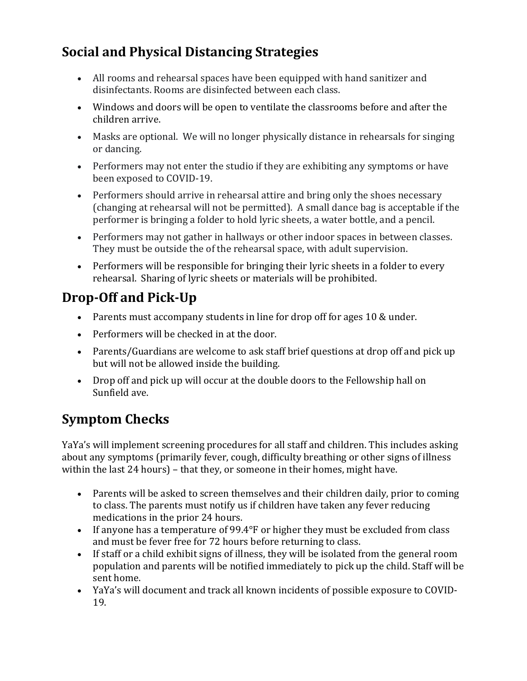### **Social and Physical Distancing Strategies**

- All rooms and rehearsal spaces have been equipped with hand sanitizer and disinfectants. Rooms are disinfected between each class.
- Windows and doors will be open to ventilate the classrooms before and after the children arrive.
- Masks are optional. We will no longer physically distance in rehearsals for singing or dancing.
- Performers may not enter the studio if they are exhibiting any symptoms or have been exposed to COVID-19.
- Performers should arrive in rehearsal attire and bring only the shoes necessary (changing at rehearsal will not be permitted). A small dance bag is acceptable if the performer is bringing a folder to hold lyric sheets, a water bottle, and a pencil.
- Performers may not gather in hallways or other indoor spaces in between classes. They must be outside the of the rehearsal space, with adult supervision.
- Performers will be responsible for bringing their lyric sheets in a folder to every rehearsal. Sharing of lyric sheets or materials will be prohibited.

## **Drop-Off and Pick-Up**

- Parents must accompany students in line for drop off for ages 10  $&$  under.
- Performers will be checked in at the door.
- Parents/Guardians are welcome to ask staff brief questions at drop off and pick up but will not be allowed inside the building.
- Drop off and pick up will occur at the double doors to the Fellowship hall on Sunfield ave.

### **Symptom Checks**

YaYa's will implement screening procedures for all staff and children. This includes asking about any symptoms (primarily fever, cough, difficulty breathing or other signs of illness within the last  $24$  hours) – that they, or someone in their homes, might have.

- Parents will be asked to screen themselves and their children daily, prior to coming to class. The parents must notify us if children have taken any fever reducing medications in the prior 24 hours.
- If anyone has a temperature of 99.4°F or higher they must be excluded from class and must be fever free for 72 hours before returning to class.
- If staff or a child exhibit signs of illness, they will be isolated from the general room population and parents will be notified immediately to pick up the child. Staff will be sent home.
- YaYa's will document and track all known incidents of possible exposure to COVID-19.